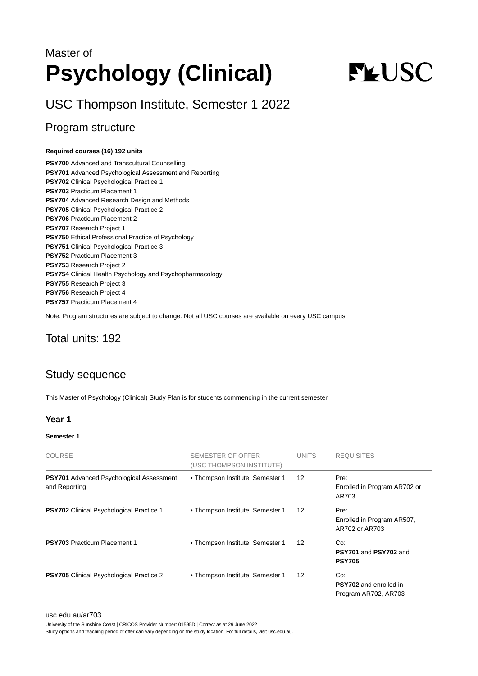## Master of **Psychology (Clinical)**

# **FLUSC**

USC Thompson Institute, Semester 1 2022

## Program structure

#### **Required courses (16) 192 units**

**PSY700** Advanced and Transcultural Counselling **PSY701** Advanced Psychological Assessment and Reporting **PSY702** Clinical Psychological Practice 1 **PSY703** Practicum Placement 1 **PSY704** Advanced Research Design and Methods **PSY705** Clinical Psychological Practice 2 **PSY706** Practicum Placement 2 **PSY707** Research Project 1 **PSY750** Ethical Professional Practice of Psychology **PSY751** Clinical Psychological Practice 3 **PSY752** Practicum Placement 3 **PSY753** Research Project 2 **PSY754** Clinical Health Psychology and Psychopharmacology **PSY755** Research Project 3 **PSY756** Research Project 4 **PSY757** Practicum Placement 4

Note: Program structures are subject to change. Not all USC courses are available on every USC campus.

## Total units: 192

### Study sequence

This Master of Psychology (Clinical) Study Plan is for students commencing in the current semester.

#### **Year 1**

#### **Semester 1**

| <b>COURSE</b>                                             | <b>SEMESTER OF OFFER</b><br>(USC THOMPSON INSTITUTE) | <b>UNITS</b>      | <b>REQUISITES</b>                                            |
|-----------------------------------------------------------|------------------------------------------------------|-------------------|--------------------------------------------------------------|
| PSY701 Advanced Psychological Assessment<br>and Reporting | • Thompson Institute: Semester 1                     | $12 \overline{ }$ | Pre:<br>Enrolled in Program AR702 or<br>AR703                |
| <b>PSY702</b> Clinical Psychological Practice 1           | • Thompson Institute: Semester 1                     | 12                | Pre:<br>Enrolled in Program AR507,<br>AR702 or AR703         |
| <b>PSY703 Practicum Placement 1</b>                       | • Thompson Institute: Semester 1                     | 12                | Co:<br>PSY701 and PSY702 and<br><b>PSY705</b>                |
| <b>PSY705</b> Clinical Psychological Practice 2           | • Thompson Institute: Semester 1                     | $12 \overline{ }$ | Co:<br><b>PSY702</b> and enrolled in<br>Program AR702, AR703 |

#### [usc.edu.au/ar703](https://www.usc.edu.au/ar703)

University of the Sunshine Coast | CRICOS Provider Number: 01595D | Correct as at 29 June 2022

Study options and teaching period of offer can vary depending on the study location. For full details, visit usc.edu.au.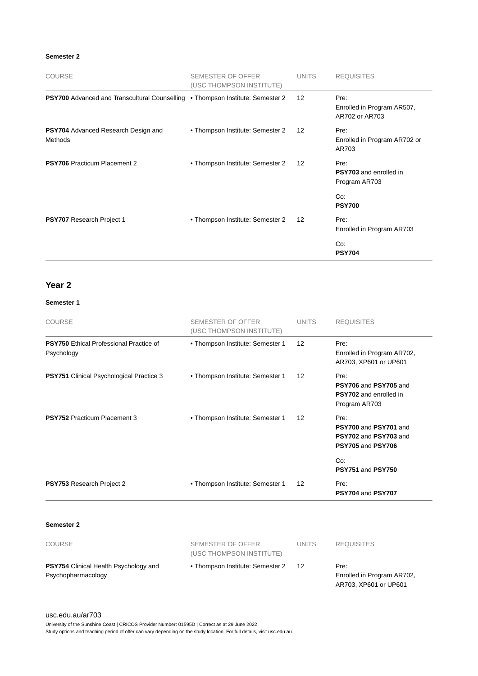#### **Semester 2**

| <b>COURSE</b>                                                | SEMESTER OF OFFER<br>(USC THOMPSON INSTITUTE) | <b>UNITS</b>      | <b>REQUISITES</b>                                      |
|--------------------------------------------------------------|-----------------------------------------------|-------------------|--------------------------------------------------------|
| <b>PSY700</b> Advanced and Transcultural Counselling         | • Thompson Institute: Semester 2              | $12 \overline{ }$ | Pre:<br>Enrolled in Program AR507,<br>AR702 or AR703   |
| <b>PSY704</b> Advanced Research Design and<br><b>Methods</b> | • Thompson Institute: Semester 2              | 12                | Pre:<br>Enrolled in Program AR702 or<br>AR703          |
| <b>PSY706</b> Practicum Placement 2                          | • Thompson Institute: Semester 2              | 12                | Pre:<br><b>PSY703</b> and enrolled in<br>Program AR703 |
|                                                              |                                               |                   | Co:<br><b>PSY700</b>                                   |
| <b>PSY707</b> Research Project 1                             | • Thompson Institute: Semester 2              | 12                | Pre:<br>Enrolled in Program AR703                      |
|                                                              |                                               |                   | Co:<br><b>PSY704</b>                                   |

#### **Year 2**

#### **Semester 1**

| <b>COURSE</b>                                                | <b>SEMESTER OF OFFER</b><br>(USC THOMPSON INSTITUTE) | <b>UNITS</b>      | <b>REQUISITES</b>                                                               |
|--------------------------------------------------------------|------------------------------------------------------|-------------------|---------------------------------------------------------------------------------|
| <b>PSY750</b> Ethical Professional Practice of<br>Psychology | • Thompson Institute: Semester 1                     | 12                | Pre:<br>Enrolled in Program AR702,<br>AR703, XP601 or UP601                     |
| <b>PSY751</b> Clinical Psychological Practice 3              | • Thompson Institute: Semester 1                     | 12                | Pre:<br>PSY706 and PSY705 and<br><b>PSY702</b> and enrolled in<br>Program AR703 |
| <b>PSY752 Practicum Placement 3</b>                          | • Thompson Institute: Semester 1                     | 12                | Pre:<br>PSY700 and PSY701 and<br>PSY702 and PSY703 and<br>PSY705 and PSY706     |
|                                                              |                                                      |                   | Co:<br><b>PSY751 and PSY750</b>                                                 |
| <b>PSY753 Research Project 2</b>                             | • Thompson Institute: Semester 1                     | $12 \overline{ }$ | Pre:<br>PSY704 and PSY707                                                       |

#### **Semester 2**

| <b>COURSE</b>                                                      | SEMESTER OF OFFER<br>(USC THOMPSON INSTITUTE) | UNITS. | <b>REQUISITES</b>                                           |
|--------------------------------------------------------------------|-----------------------------------------------|--------|-------------------------------------------------------------|
| <b>PSY754</b> Clinical Health Psychology and<br>Psychopharmacology | • Thompson Institute: Semester 2              | -12    | Pre:<br>Enrolled in Program AR702,<br>AR703, XP601 or UP601 |

[usc.edu.au/ar703](https://www.usc.edu.au/ar703)

University of the Sunshine Coast | CRICOS Provider Number: 01595D | Correct as at 29 June 2022

Study options and teaching period of offer can vary depending on the study location. For full details, visit usc.edu.au.